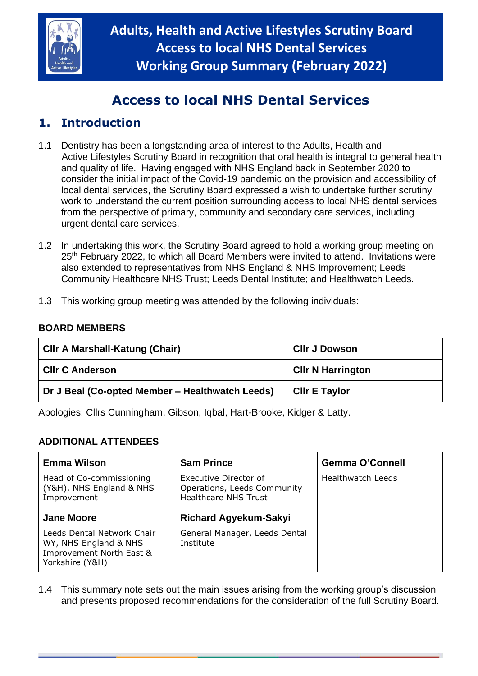

# **Access to local NHS Dental Services**

## **1. Introduction**

- 1.1 Dentistry has been a longstanding area of interest to the Adults, Health and Active Lifestyles Scrutiny Board in recognition that oral health is integral to general health and quality of life. Having engaged with NHS England back in September 2020 to consider the initial impact of the Covid-19 pandemic on the provision and accessibility of local dental services, the Scrutiny Board expressed a wish to undertake further scrutiny work to understand the current position surrounding access to local NHS dental services from the perspective of primary, community and secondary care services, including urgent dental care services.
- 1.2 In undertaking this work, the Scrutiny Board agreed to hold a working group meeting on 25<sup>th</sup> February 2022, to which all Board Members were invited to attend. Invitations were also extended to representatives from NHS England & NHS Improvement; Leeds Community Healthcare NHS Trust; Leeds Dental Institute; and Healthwatch Leeds.
- 1.3 This working group meeting was attended by the following individuals:

#### **BOARD MEMBERS**

| Cilr A Marshall-Katung (Chair)                  | <b>CIIr J Dowson</b>     |
|-------------------------------------------------|--------------------------|
| <b>CIIr C Anderson</b>                          | <b>CIIr N Harrington</b> |
| Dr J Beal (Co-opted Member – Healthwatch Leeds) | <b>CIIr E Taylor</b>     |

Apologies: Cllrs Cunningham, Gibson, Iqbal, Hart-Brooke, Kidger & Latty.

#### **ADDITIONAL ATTENDEES**

| <b>Emma Wilson</b>                                                                                 | <b>Sam Prince</b>                                                                   | <b>Gemma O'Connell</b> |
|----------------------------------------------------------------------------------------------------|-------------------------------------------------------------------------------------|------------------------|
| Head of Co-commissioning<br>(Y&H), NHS England & NHS<br>Improvement                                | Executive Director of<br>Operations, Leeds Community<br><b>Healthcare NHS Trust</b> | Healthwatch Leeds      |
| <b>Jane Moore</b>                                                                                  | <b>Richard Agyekum-Sakyi</b>                                                        |                        |
| Leeds Dental Network Chair<br>WY, NHS England & NHS<br>Improvement North East &<br>Yorkshire (Y&H) | General Manager, Leeds Dental<br>Institute                                          |                        |

1.4 This summary note sets out the main issues arising from the working group's discussion and presents proposed recommendations for the consideration of the full Scrutiny Board.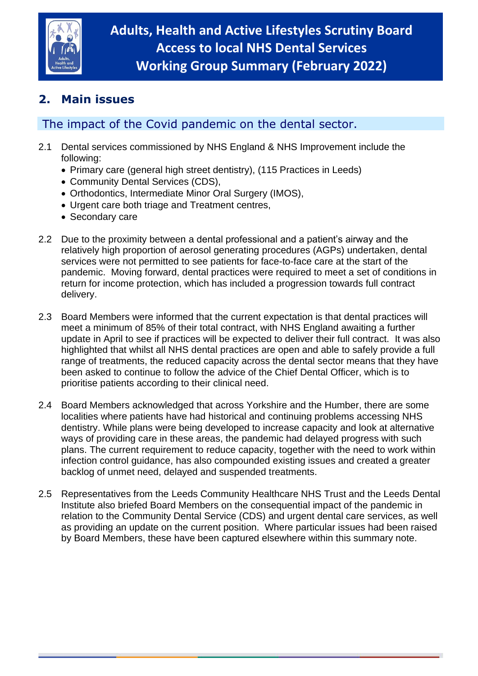

## **2. Main issues**

### The impact of the Covid pandemic on the dental sector.

- 2.1 Dental services commissioned by NHS England & NHS Improvement include the following:
	- Primary care (general high street dentistry), (115 Practices in Leeds)
	- Community Dental Services (CDS),
	- Orthodontics, Intermediate Minor Oral Surgery (IMOS),
	- Urgent care both triage and Treatment centres,
	- Secondary care
- 2.2 Due to the proximity between a dental professional and a patient's airway and the relatively high proportion of aerosol generating procedures (AGPs) undertaken, dental services were not permitted to see patients for face-to-face care at the start of the pandemic. Moving forward, dental practices were required to meet a set of conditions in return for income protection, which has included a progression towards full contract delivery.
- 2.3 Board Members were informed that the current expectation is that dental practices will meet a minimum of 85% of their total contract, with NHS England awaiting a further update in April to see if practices will be expected to deliver their full contract. It was also highlighted that whilst all NHS dental practices are open and able to safely provide a full range of treatments, the reduced capacity across the dental sector means that they have been asked to continue to follow the advice of the Chief Dental Officer, which is to prioritise patients according to their clinical need.
- 2.4 Board Members acknowledged that across Yorkshire and the Humber, there are some localities where patients have had historical and continuing problems accessing NHS dentistry. While plans were being developed to increase capacity and look at alternative ways of providing care in these areas, the pandemic had delayed progress with such plans. The current requirement to reduce capacity, together with the need to work within infection control guidance, has also compounded existing issues and created a greater backlog of unmet need, delayed and suspended treatments.
- 2.5 Representatives from the Leeds Community Healthcare NHS Trust and the Leeds Dental Institute also briefed Board Members on the consequential impact of the pandemic in relation to the Community Dental Service (CDS) and urgent dental care services, as well as providing an update on the current position. Where particular issues had been raised by Board Members, these have been captured elsewhere within this summary note.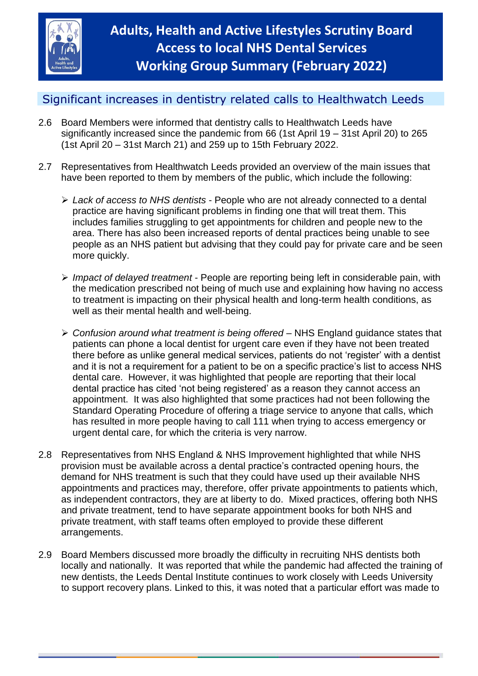

### Significant increases in dentistry related calls to Healthwatch Leeds

- 2.6 Board Members were informed that dentistry calls to Healthwatch Leeds have significantly increased since the pandemic from 66 (1st April 19 – 31st April 20) to 265 (1st April 20 – 31st March 21) and 259 up to 15th February 2022.
- 2.7 Representatives from Healthwatch Leeds provided an overview of the main issues that have been reported to them by members of the public, which include the following:
	- ➢ *Lack of access to NHS dentists* People who are not already connected to a dental practice are having significant problems in finding one that will treat them. This includes families struggling to get appointments for children and people new to the area. There has also been increased reports of dental practices being unable to see people as an NHS patient but advising that they could pay for private care and be seen more quickly.
	- ➢ *Impact of delayed treatment* People are reporting being left in considerable pain, with the medication prescribed not being of much use and explaining how having no access to treatment is impacting on their physical health and long-term health conditions, as well as their mental health and well-being.
	- ➢ *Confusion around what treatment is being offered* NHS England guidance states that patients can phone a local dentist for urgent care even if they have not been treated there before as unlike general medical services, patients do not 'register' with a dentist and it is not a requirement for a patient to be on a specific practice's list to access NHS dental care. However, it was highlighted that people are reporting that their local dental practice has cited 'not being registered' as a reason they cannot access an appointment. It was also highlighted that some practices had not been following the Standard Operating Procedure of offering a triage service to anyone that calls, which has resulted in more people having to call 111 when trying to access emergency or urgent dental care, for which the criteria is very narrow.
- 2.8 Representatives from NHS England & NHS Improvement highlighted that while NHS provision must be available across a dental practice's contracted opening hours, the demand for NHS treatment is such that they could have used up their available NHS appointments and practices may, therefore, offer private appointments to patients which, as independent contractors, they are at liberty to do. Mixed practices, offering both NHS and private treatment, tend to have separate appointment books for both NHS and private treatment, with staff teams often employed to provide these different arrangements.
- 2.9 Board Members discussed more broadly the difficulty in recruiting NHS dentists both locally and nationally. It was reported that while the pandemic had affected the training of new dentists, the Leeds Dental Institute continues to work closely with Leeds University to support recovery plans. Linked to this, it was noted that a particular effort was made to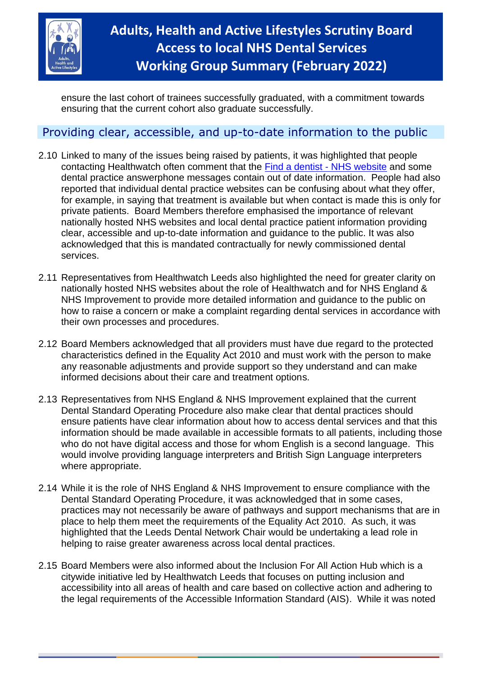

ensure the last cohort of trainees successfully graduated, with a commitment towards ensuring that the current cohort also graduate successfully.

#### Providing clear, accessible, and up-to-date information to the public

- 2.10 Linked to many of the issues being raised by patients, it was highlighted that people contacting Healthwatch often comment that the [Find a dentist -](https://www.nhs.uk/service-search/find-a-dentist) NHS website and some dental practice answerphone messages contain out of date information. People had also reported that individual dental practice websites can be confusing about what they offer, for example, in saying that treatment is available but when contact is made this is only for private patients. Board Members therefore emphasised the importance of relevant nationally hosted NHS websites and local dental practice patient information providing clear, accessible and up-to-date information and guidance to the public. It was also acknowledged that this is mandated contractually for newly commissioned dental services.
- 2.11 Representatives from Healthwatch Leeds also highlighted the need for greater clarity on nationally hosted NHS websites about the role of Healthwatch and for NHS England & NHS Improvement to provide more detailed information and guidance to the public on how to raise a concern or make a complaint regarding dental services in accordance with their own processes and procedures.
- 2.12 Board Members acknowledged that all providers must have due regard to the protected characteristics defined in the Equality Act 2010 and must work with the person to make any reasonable adjustments and provide support so they understand and can make informed decisions about their care and treatment options.
- 2.13 Representatives from NHS England & NHS Improvement explained that the current Dental Standard Operating Procedure also make clear that dental practices should ensure patients have clear information about how to access dental services and that this information should be made available in accessible formats to all patients, including those who do not have digital access and those for whom English is a second language. This would involve providing language interpreters and British Sign Language interpreters where appropriate.
- 2.14 While it is the role of NHS England & NHS Improvement to ensure compliance with the Dental Standard Operating Procedure, it was acknowledged that in some cases, practices may not necessarily be aware of pathways and support mechanisms that are in place to help them meet the requirements of the Equality Act 2010. As such, it was highlighted that the Leeds Dental Network Chair would be undertaking a lead role in helping to raise greater awareness across local dental practices.
- 2.15 Board Members were also informed about the Inclusion For All Action Hub which is a citywide initiative led by Healthwatch Leeds that focuses on putting inclusion and accessibility into all areas of health and care based on collective action and adhering to the legal requirements of the Accessible Information Standard (AIS). While it was noted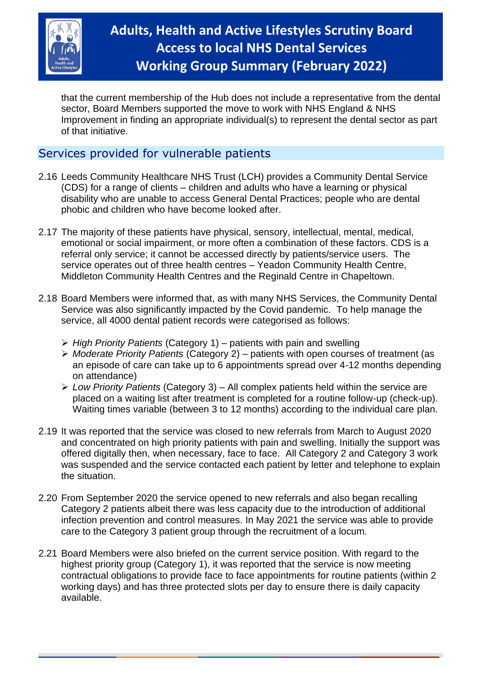

# **Adults, Health and Active Lifestyles Scrutiny Board Access to local NHS Dental Services Working Group Summary (February 2022)**

that the current membership of the Hub does not include a representative from the dental sector, Board Members supported the move to work with NHS England & NHS Improvement in finding an appropriate individual(s) to represent the dental sector as part of that initiative.

#### Services provided for vulnerable patients

- 2.16 Leeds Community Healthcare NHS Trust (LCH) provides a Community Dental Service (CDS) for a range of clients – children and adults who have a learning or physical disability who are unable to access General Dental Practices; people who are dental phobic and children who have become looked after.
- 2.17 The majority of these patients have physical, sensory, intellectual, mental, medical, emotional or social impairment, or more often a combination of these factors. CDS is a referral only service; it cannot be accessed directly by patients/service users. The service operates out of three health centres – Yeadon Community Health Centre, Middleton Community Health Centres and the Reginald Centre in Chapeltown.
- 2.18 Board Members were informed that, as with many NHS Services, the Community Dental Service was also significantly impacted by the Covid pandemic. To help manage the service, all 4000 dental patient records were categorised as follows:
	- ➢ *High Priority Patients* (Category 1) patients with pain and swelling
	- ➢ *Moderate Priority Patients* (Category 2) patients with open courses of treatment (as an episode of care can take up to 6 appointments spread over 4-12 months depending on attendance)
	- ➢ *Low Priority Patients* (Category 3) All complex patients held within the service are placed on a waiting list after treatment is completed for a routine follow-up (check-up). Waiting times variable (between 3 to 12 months) according to the individual care plan.
- 2.19 It was reported that the service was closed to new referrals from March to August 2020 and concentrated on high priority patients with pain and swelling. Initially the support was offered digitally then, when necessary, face to face. All Category 2 and Category 3 work was suspended and the service contacted each patient by letter and telephone to explain the situation.
- 2.20 From September 2020 the service opened to new referrals and also began recalling Category 2 patients albeit there was less capacity due to the introduction of additional infection prevention and control measures. In May 2021 the service was able to provide care to the Category 3 patient group through the recruitment of a locum.
- 2.21 Board Members were also briefed on the current service position. With regard to the highest priority group (Category 1), it was reported that the service is now meeting contractual obligations to provide face to face appointments for routine patients (within 2 working days) and has three protected slots per day to ensure there is daily capacity available.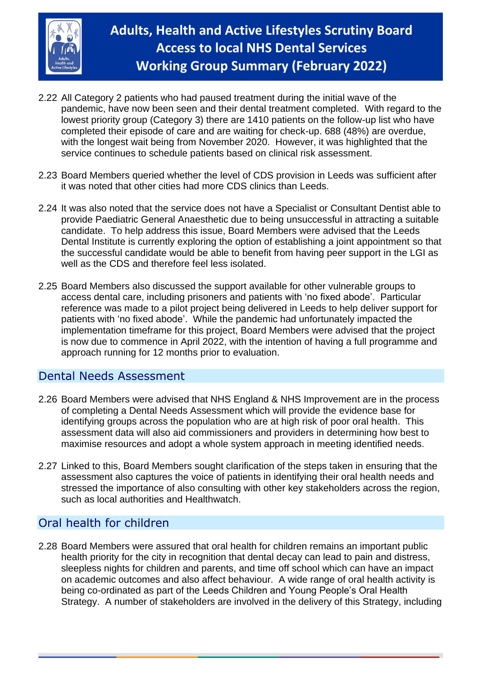

# **Adults, Health and Active Lifestyles Scrutiny Board Access to local NHS Dental Services Working Group Summary (February 2022)**

- 2.22 All Category 2 patients who had paused treatment during the initial wave of the pandemic, have now been seen and their dental treatment completed. With regard to the lowest priority group (Category 3) there are 1410 patients on the follow-up list who have completed their episode of care and are waiting for check-up. 688 (48%) are overdue, with the longest wait being from November 2020. However, it was highlighted that the service continues to schedule patients based on clinical risk assessment.
- 2.23 Board Members queried whether the level of CDS provision in Leeds was sufficient after it was noted that other cities had more CDS clinics than Leeds.
- 2.24 It was also noted that the service does not have a Specialist or Consultant Dentist able to provide Paediatric General Anaesthetic due to being unsuccessful in attracting a suitable candidate. To help address this issue, Board Members were advised that the Leeds Dental Institute is currently exploring the option of establishing a joint appointment so that the successful candidate would be able to benefit from having peer support in the LGI as well as the CDS and therefore feel less isolated.
- 2.25 Board Members also discussed the support available for other vulnerable groups to access dental care, including prisoners and patients with 'no fixed abode'. Particular reference was made to a pilot project being delivered in Leeds to help deliver support for patients with 'no fixed abode'. While the pandemic had unfortunately impacted the implementation timeframe for this project, Board Members were advised that the project is now due to commence in April 2022, with the intention of having a full programme and approach running for 12 months prior to evaluation.

#### Dental Needs Assessment

- 2.26 Board Members were advised that NHS England & NHS Improvement are in the process of completing a Dental Needs Assessment which will provide the evidence base for identifying groups across the population who are at high risk of poor oral health. This assessment data will also aid commissioners and providers in determining how best to maximise resources and adopt a whole system approach in meeting identified needs.
- 2.27 Linked to this, Board Members sought clarification of the steps taken in ensuring that the assessment also captures the voice of patients in identifying their oral health needs and stressed the importance of also consulting with other key stakeholders across the region, such as local authorities and Healthwatch.

### Oral health for children

2.28 Board Members were assured that oral health for children remains an important public health priority for the city in recognition that dental decay can lead to pain and distress, sleepless nights for children and parents, and time off school which can have an impact on academic outcomes and also affect behaviour. A wide range of oral health activity is being co-ordinated as part of the Leeds Children and Young People's Oral Health Strategy. A number of stakeholders are involved in the delivery of this Strategy, including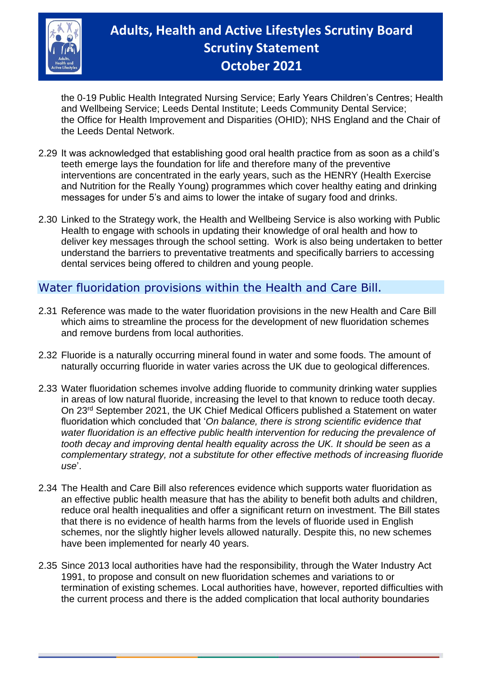

# **Adults, Health and Active Lifestyles Scrutiny Board Scrutiny Statement October 2021**

the 0-19 Public Health Integrated Nursing Service; Early Years Children's Centres; Health and Wellbeing Service; Leeds Dental Institute; Leeds Community Dental Service; the Office for Health Improvement and Disparities (OHID); NHS England and the Chair of the Leeds Dental Network.

- 2.29 It was acknowledged that establishing good oral health practice from as soon as a child's teeth emerge lays the foundation for life and therefore many of the preventive interventions are concentrated in the early years, such as the HENRY (Health Exercise and Nutrition for the Really Young) programmes which cover healthy eating and drinking messages for under 5's and aims to lower the intake of sugary food and drinks.
- 2.30 Linked to the Strategy work, the Health and Wellbeing Service is also working with Public Health to engage with schools in updating their knowledge of oral health and how to deliver key messages through the school setting. Work is also being undertaken to better understand the barriers to preventative treatments and specifically barriers to accessing dental services being offered to children and young people.

### Water fluoridation provisions within the Health and Care Bill.

- 2.31 Reference was made to the water fluoridation provisions in the new Health and Care Bill which aims to streamline the process for the development of new fluoridation schemes and remove burdens from local authorities.
- 2.32 Fluoride is a naturally occurring mineral found in water and some foods. The amount of naturally occurring fluoride in water varies across the UK due to geological differences.
- 2.33 Water fluoridation schemes involve adding fluoride to community drinking water supplies in areas of low natural fluoride, increasing the level to that known to reduce tooth decay. On 23rd September 2021, the UK Chief Medical Officers published a Statement on water fluoridation which concluded that '*On balance, there is strong scientific evidence that water fluoridation is an effective public health intervention for reducing the prevalence of tooth decay and improving dental health equality across the UK. It should be seen as a complementary strategy, not a substitute for other effective methods of increasing fluoride use*'.
- 2.34 The Health and Care Bill also references evidence which supports water fluoridation as an effective public health measure that has the ability to benefit both adults and children, reduce oral health inequalities and offer a significant return on investment. The Bill states that there is no evidence of health harms from the levels of fluoride used in English schemes, nor the slightly higher levels allowed naturally. Despite this, no new schemes have been implemented for nearly 40 years.
- 2.35 Since 2013 local authorities have had the responsibility, through the Water Industry Act 1991, to propose and consult on new fluoridation schemes and variations to or termination of existing schemes. Local authorities have, however, reported difficulties with the current process and there is the added complication that local authority boundaries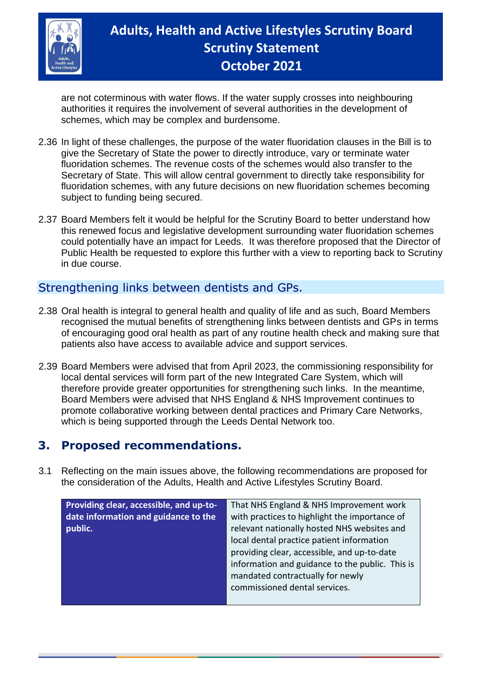

# **Adults, Health and Active Lifestyles Scrutiny Board Scrutiny Statement October 2021**

are not coterminous with water flows. If the water supply crosses into neighbouring authorities it requires the involvement of several authorities in the development of schemes, which may be complex and burdensome.

- 2.36 In light of these challenges, the purpose of the water fluoridation clauses in the Bill is to give the Secretary of State the power to directly introduce, vary or terminate water fluoridation schemes. The revenue costs of the schemes would also transfer to the Secretary of State. This will allow central government to directly take responsibility for fluoridation schemes, with any future decisions on new fluoridation schemes becoming subject to funding being secured.
- 2.37 Board Members felt it would be helpful for the Scrutiny Board to better understand how this renewed focus and legislative development surrounding water fluoridation schemes could potentially have an impact for Leeds. It was therefore proposed that the Director of Public Health be requested to explore this further with a view to reporting back to Scrutiny in due course.

#### Strengthening links between dentists and GPs.

- 2.38 Oral health is integral to general health and quality of life and as such, Board Members recognised the mutual benefits of strengthening links between dentists and GPs in terms of encouraging good oral health as part of any routine health check and making sure that patients also have access to available advice and support services.
- 2.39 Board Members were advised that from April 2023, the commissioning responsibility for local dental services will form part of the new Integrated Care System, which will therefore provide greater opportunities for strengthening such links. In the meantime, Board Members were advised that NHS England & NHS Improvement continues to promote collaborative working between dental practices and Primary Care Networks, which is being supported through the Leeds Dental Network too.

### **3. Proposed recommendations.**

3.1 Reflecting on the main issues above, the following recommendations are proposed for the consideration of the Adults, Health and Active Lifestyles Scrutiny Board.

| Providing clear, accessible, and up-to- | That NHS England & NHS Improvement work         |
|-----------------------------------------|-------------------------------------------------|
| date information and guidance to the    | with practices to highlight the importance of   |
| public.                                 | relevant nationally hosted NHS websites and     |
|                                         | local dental practice patient information       |
|                                         | providing clear, accessible, and up-to-date     |
|                                         | information and guidance to the public. This is |
|                                         | mandated contractually for newly                |
|                                         | commissioned dental services.                   |
|                                         |                                                 |